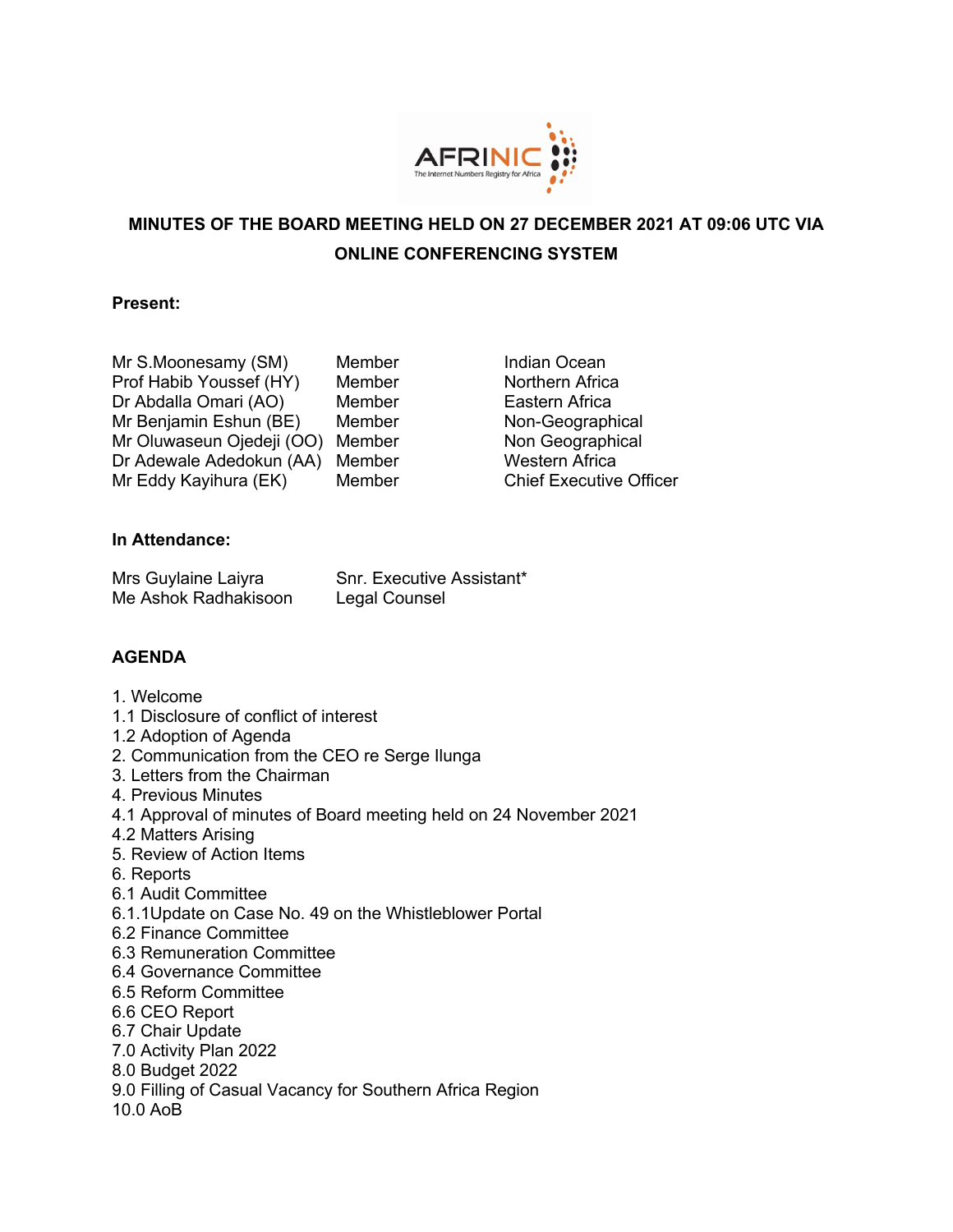

# **MINUTES OF THE BOARD MEETING HELD ON 27 DECEMBER 2021 AT 09:06 UTC VIA ONLINE CONFERENCING SYSTEM**

### **Present:**

| Mr S.Moonesamy (SM)       | Membe |
|---------------------------|-------|
| Prof Habib Youssef (HY)   | Membe |
| Dr Abdalla Omari (AO)     | Membe |
| Mr Benjamin Eshun (BE)    | Membe |
| Mr Oluwaseun Ojedeji (OO) | Membe |
| Dr Adewale Adedokun (AA)  | Membe |
| Mr Eddy Kayihura (EK)     | Membe |
|                           |       |

er **Indian Ocean** Prof **Habib Youthern Africa** er **Eastern Africa** er **Non-Geographical** er **Non Geographical** er **Western Africa** er **Chief Executive Officer** 

# **In Attendance:**

| Mrs Guylaine Laiyra  | Snr. Executive Assistant* |
|----------------------|---------------------------|
| Me Ashok Radhakisoon | Legal Counsel             |

# **AGENDA**

- 1. Welcome
- 1.1 Disclosure of conflict of interest
- 1.2 Adoption of Agenda
- 2. Communication from the CEO re Serge Ilunga
- 3. Letters from the Chairman
- 4. Previous Minutes
- 4.1 Approval of minutes of Board meeting held on 24 November 2021
- 4.2 Matters Arising
- 5. Review of Action Items
- 6. Reports
- 6.1 Audit Committee
- 6.1.1Update on Case No. 49 on the Whistleblower Portal
- 6.2 Finance Committee
- 6.3 Remuneration Committee
- 6.4 Governance Committee
- 6.5 Reform Committee
- 6.6 CEO Report
- 6.7 Chair Update
- 7.0 Activity Plan 2022
- 8.0 Budget 2022
- 9.0 Filling of Casual Vacancy for Southern Africa Region
- 10.0 AoB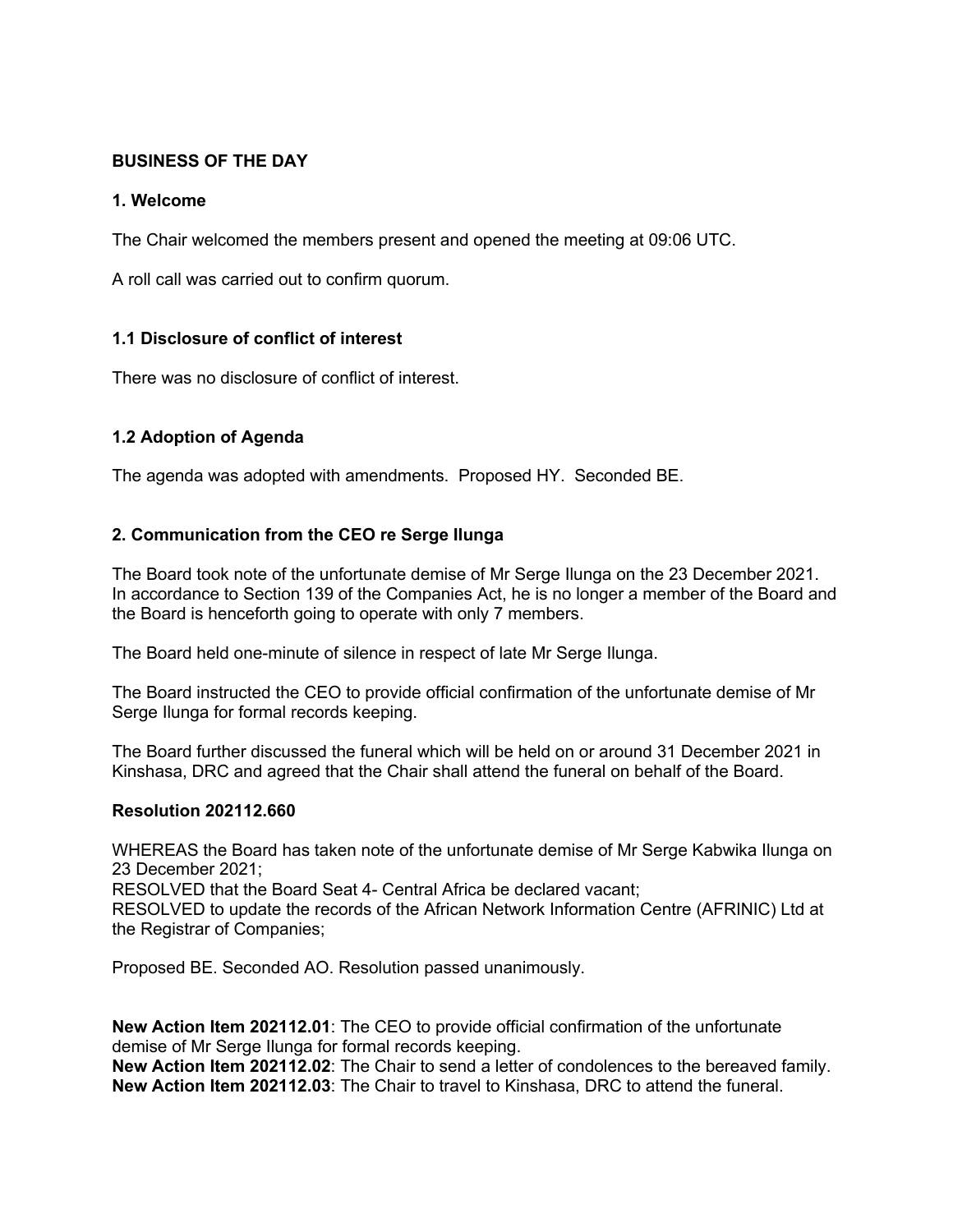# **BUSINESS OF THE DAY**

# **1. Welcome**

The Chair welcomed the members present and opened the meeting at 09:06 UTC.

A roll call was carried out to confirm quorum.

# **1.1 Disclosure of conflict of interest**

There was no disclosure of conflict of interest.

# **1.2 Adoption of Agenda**

The agenda was adopted with amendments. Proposed HY. Seconded BE.

# **2. Communication from the CEO re Serge Ilunga**

The Board took note of the unfortunate demise of Mr Serge Ilunga on the 23 December 2021. In accordance to Section 139 of the Companies Act, he is no longer a member of the Board and the Board is henceforth going to operate with only 7 members.

The Board held one-minute of silence in respect of late Mr Serge Ilunga.

The Board instructed the CEO to provide official confirmation of the unfortunate demise of Mr Serge Ilunga for formal records keeping.

The Board further discussed the funeral which will be held on or around 31 December 2021 in Kinshasa, DRC and agreed that the Chair shall attend the funeral on behalf of the Board.

#### **Resolution 202112.660**

WHEREAS the Board has taken note of the unfortunate demise of Mr Serge Kabwika Ilunga on 23 December 2021;

RESOLVED that the Board Seat 4- Central Africa be declared vacant;

RESOLVED to update the records of the African Network Information Centre (AFRINIC) Ltd at the Registrar of Companies;

Proposed BE. Seconded AO. Resolution passed unanimously.

**New Action Item 202112.01**: The CEO to provide official confirmation of the unfortunate demise of Mr Serge Ilunga for formal records keeping. **New Action Item 202112.02**: The Chair to send a letter of condolences to the bereaved family. **New Action Item 202112.03**: The Chair to travel to Kinshasa, DRC to attend the funeral.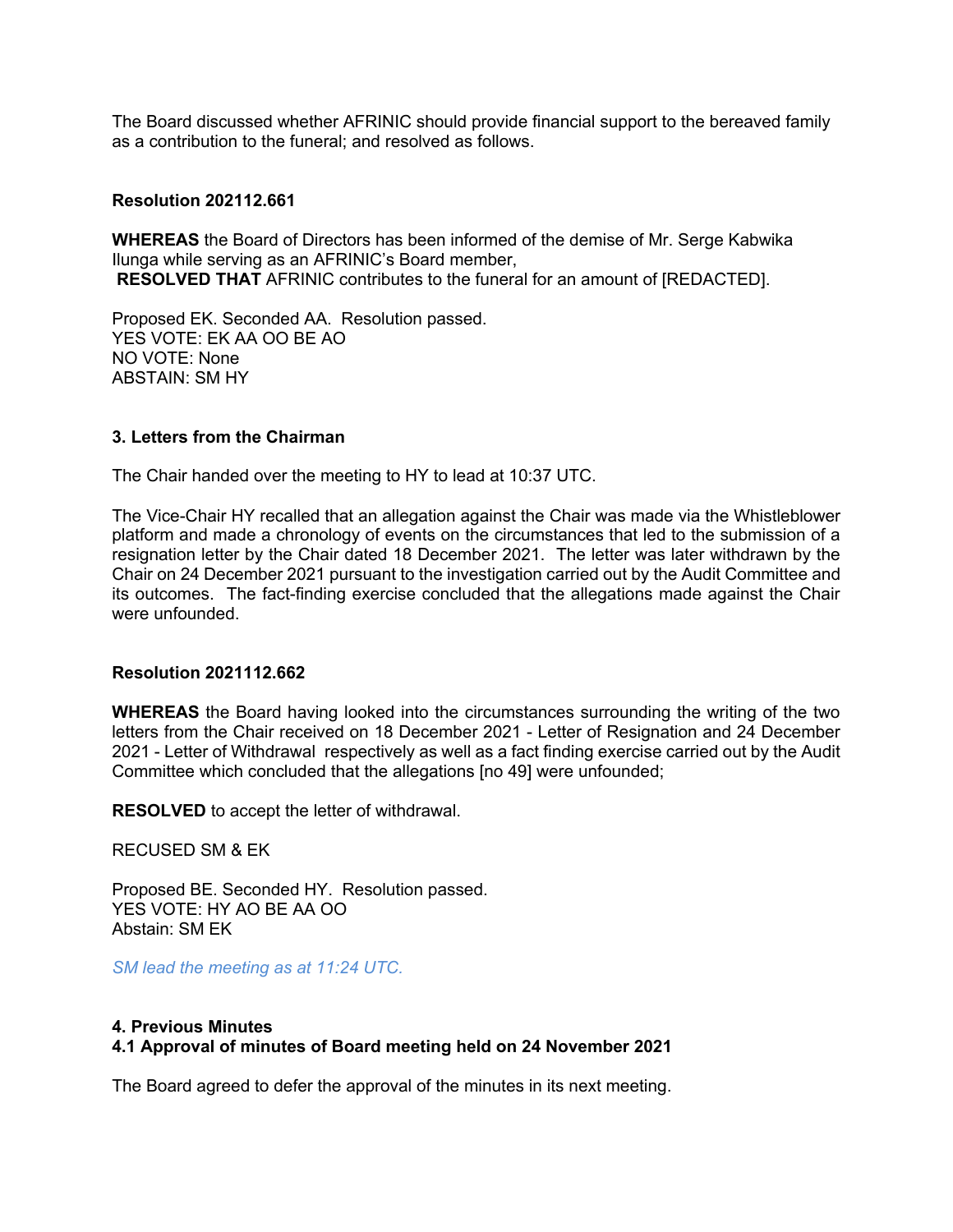The Board discussed whether AFRINIC should provide financial support to the bereaved family as a contribution to the funeral; and resolved as follows.

#### **Resolution 202112.661**

**WHEREAS** the Board of Directors has been informed of the demise of Mr. Serge Kabwika Ilunga while serving as an AFRINIC's Board member, **RESOLVED THAT** AFRINIC contributes to the funeral for an amount of [REDACTED].

Proposed EK. Seconded AA. Resolution passed. YES VOTE: EK AA OO BE AO NO VOTE: None ABSTAIN: SM HY

#### **3. Letters from the Chairman**

The Chair handed over the meeting to HY to lead at 10:37 UTC.

The Vice-Chair HY recalled that an allegation against the Chair was made via the Whistleblower platform and made a chronology of events on the circumstances that led to the submission of a resignation letter by the Chair dated 18 December 2021. The letter was later withdrawn by the Chair on 24 December 2021 pursuant to the investigation carried out by the Audit Committee and its outcomes. The fact-finding exercise concluded that the allegations made against the Chair were unfounded.

#### **Resolution 2021112.662**

**WHEREAS** the Board having looked into the circumstances surrounding the writing of the two letters from the Chair received on 18 December 2021 - Letter of Resignation and 24 December 2021 - Letter of Withdrawal respectively as well as a fact finding exercise carried out by the Audit Committee which concluded that the allegations [no 49] were unfounded;

**RESOLVED** to accept the letter of withdrawal.

RECUSED SM & EK

Proposed BE. Seconded HY. Resolution passed. YES VOTE: HY AO BE AA OO Abstain: SM EK

*SM lead the meeting as at 11:24 UTC.*

#### **4. Previous Minutes**

# **4.1 Approval of minutes of Board meeting held on 24 November 2021**

The Board agreed to defer the approval of the minutes in its next meeting.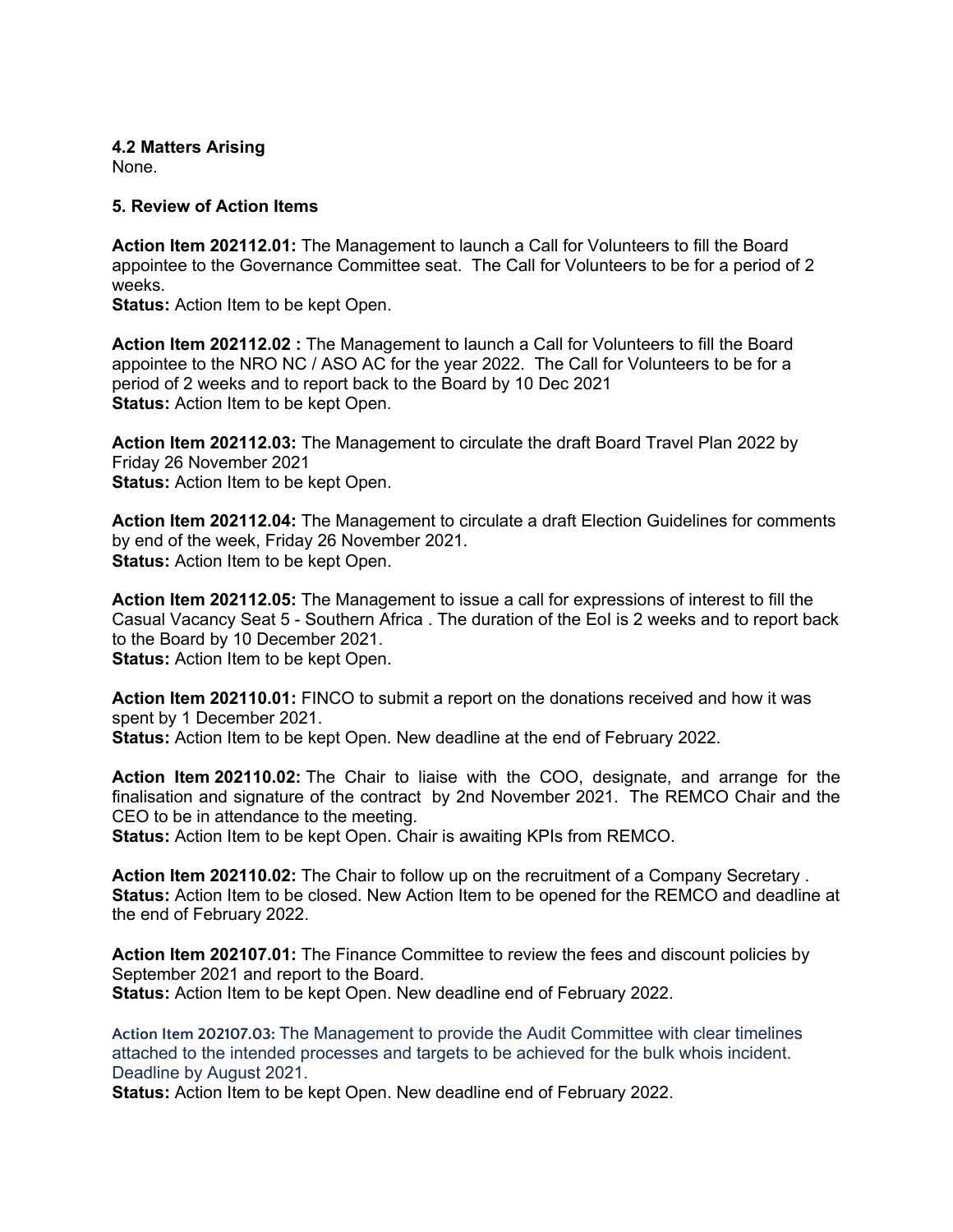# **4.2 Matters Arising**

None.

### **5. Review of Action Items**

**Action Item 202112.01:** The Management to launch a Call for Volunteers to fill the Board appointee to the Governance Committee seat. The Call for Volunteers to be for a period of 2 weeks.

**Status:** Action Item to be kept Open.

**Action Item 202112.02 :** The Management to launch a Call for Volunteers to fill the Board appointee to the NRO NC / ASO AC for the year 2022. The Call for Volunteers to be for a period of 2 weeks and to report back to the Board by 10 Dec 2021 **Status:** Action Item to be kept Open.

**Action Item 202112.03:** The Management to circulate the draft Board Travel Plan 2022 by Friday 26 November 2021 **Status:** Action Item to be kept Open.

**Action Item 202112.04:** The Management to circulate a draft Election Guidelines for comments by end of the week, Friday 26 November 2021. **Status:** Action Item to be kept Open.

**Action Item 202112.05:** The Management to issue a call for expressions of interest to fill the Casual Vacancy Seat 5 - Southern Africa . The duration of the EoI is 2 weeks and to report back to the Board by 10 December 2021.

**Status:** Action Item to be kept Open.

**Action Item 202110.01:** FINCO to submit a report on the donations received and how it was spent by 1 December 2021. **Status:** Action Item to be kept Open. New deadline at the end of February 2022.

**Action Item 202110.02:** The Chair to liaise with the COO, designate, and arrange for the finalisation and signature of the contract by 2nd November 2021. The REMCO Chair and the CEO to be in attendance to the meeting.

**Status:** Action Item to be kept Open. Chair is awaiting KPIs from REMCO.

**Action Item 202110.02:** The Chair to follow up on the recruitment of a Company Secretary . **Status:** Action Item to be closed. New Action Item to be opened for the REMCO and deadline at the end of February 2022.

**Action Item 202107.01:** The Finance Committee to review the fees and discount policies by September 2021 and report to the Board. **Status:** Action Item to be kept Open. New deadline end of February 2022.

**Action Item 202107.03:** The Management to provide the Audit Committee with clear timelines attached to the intended processes and targets to be achieved for the bulk whois incident. Deadline by August 2021.

**Status:** Action Item to be kept Open. New deadline end of February 2022.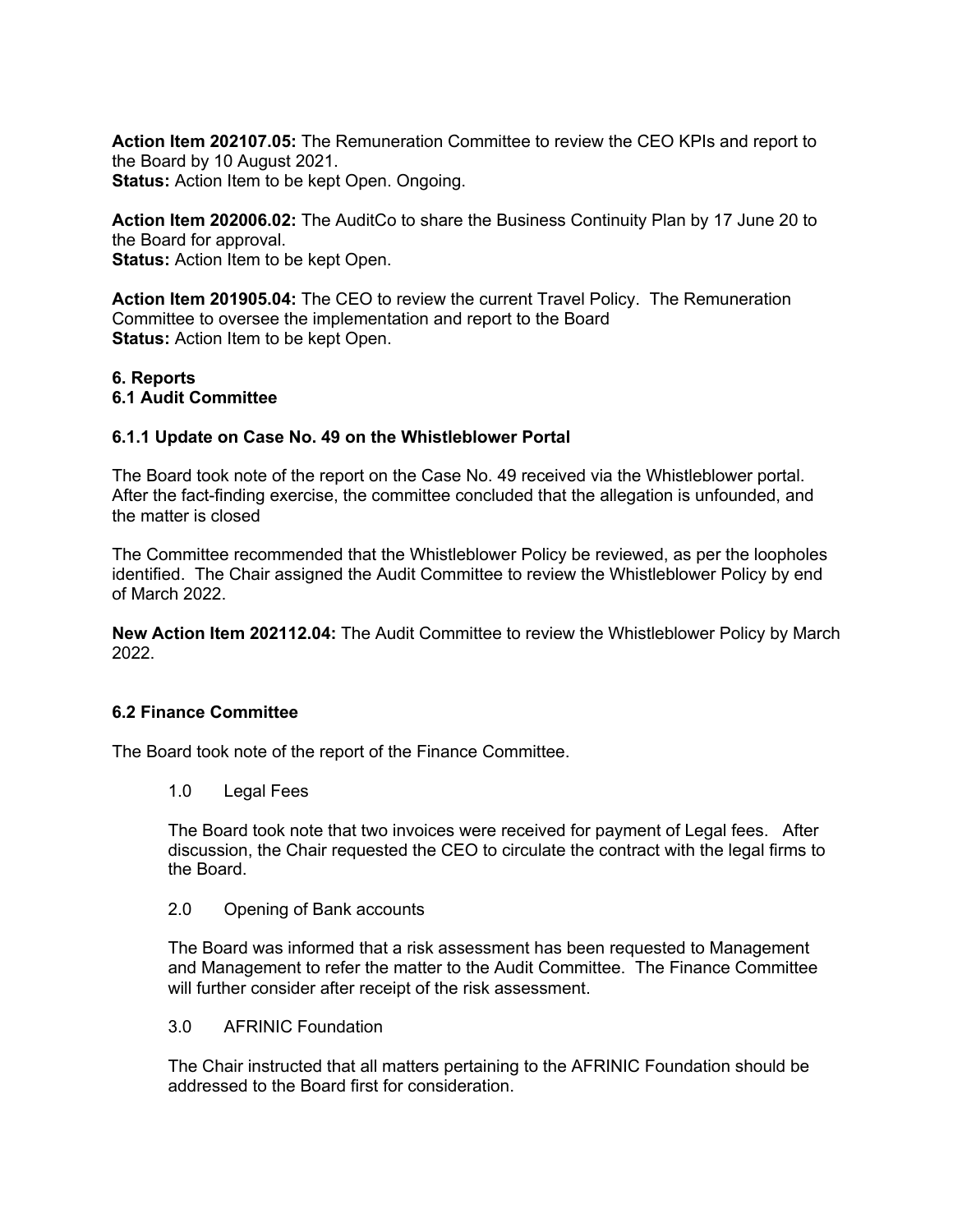**Action Item 202107.05:** The Remuneration Committee to review the CEO KPIs and report to the Board by 10 August 2021. **Status:** Action Item to be kept Open. Ongoing.

**Action Item 202006.02:** The AuditCo to share the Business Continuity Plan by 17 June 20 to the Board for approval. **Status:** Action Item to be kept Open.

**Action Item 201905.04:** The CEO to review the current Travel Policy. The Remuneration Committee to oversee the implementation and report to the Board **Status:** Action Item to be kept Open.

#### **6. Reports 6.1 Audit Committee**

### **6.1.1 Update on Case No. 49 on the Whistleblower Portal**

The Board took note of the report on the Case No. 49 received via the Whistleblower portal. After the fact-finding exercise, the committee concluded that the allegation is unfounded, and the matter is closed

The Committee recommended that the Whistleblower Policy be reviewed, as per the loopholes identified. The Chair assigned the Audit Committee to review the Whistleblower Policy by end of March 2022.

**New Action Item 202112.04:** The Audit Committee to review the Whistleblower Policy by March 2022.

#### **6.2 Finance Committee**

The Board took note of the report of the Finance Committee.

1.0 Legal Fees

The Board took note that two invoices were received for payment of Legal fees. After discussion, the Chair requested the CEO to circulate the contract with the legal firms to the Board.

2.0 Opening of Bank accounts

The Board was informed that a risk assessment has been requested to Management and Management to refer the matter to the Audit Committee. The Finance Committee will further consider after receipt of the risk assessment.

3.0 AFRINIC Foundation

The Chair instructed that all matters pertaining to the AFRINIC Foundation should be addressed to the Board first for consideration.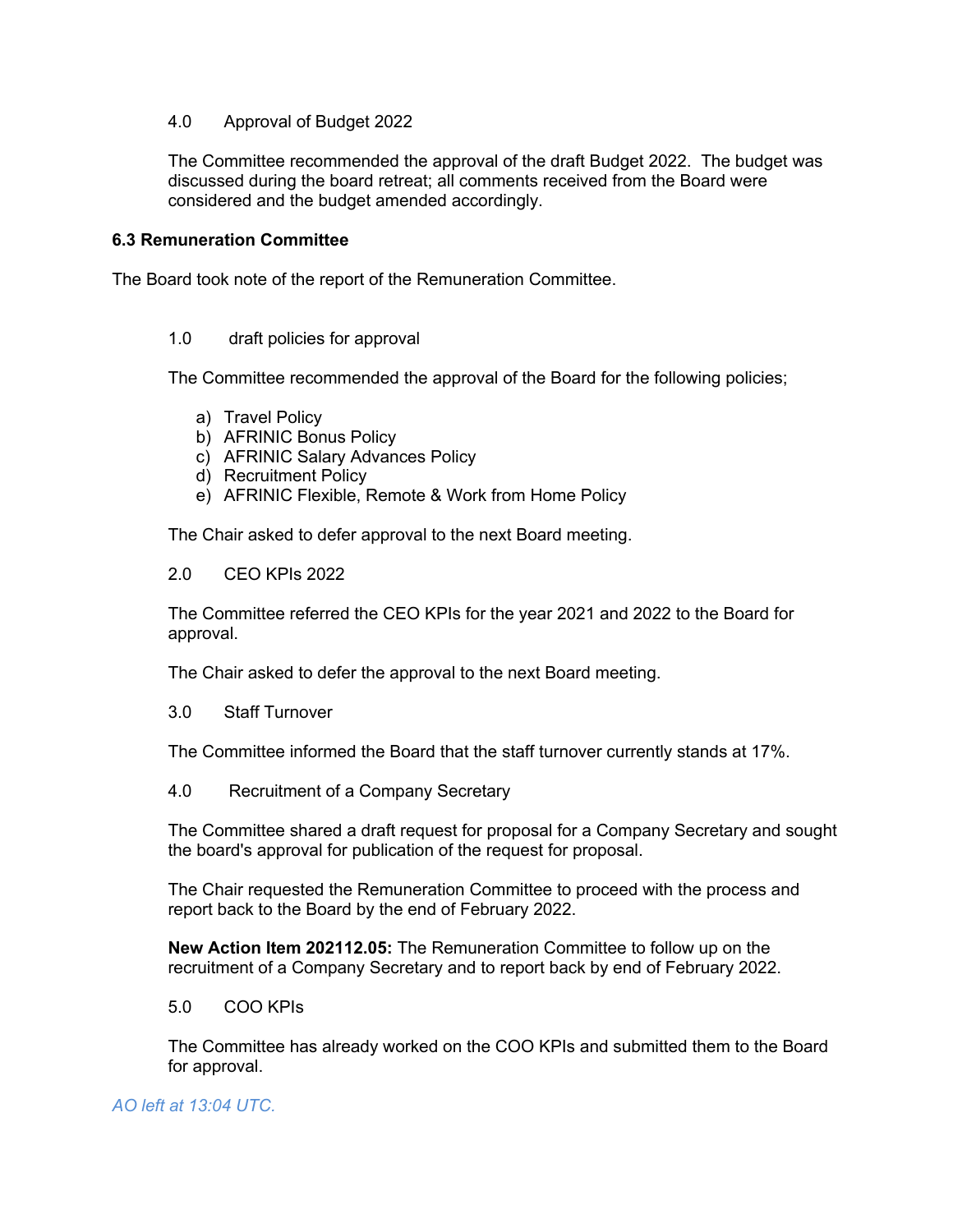### 4.0 Approval of Budget 2022

The Committee recommended the approval of the draft Budget 2022. The budget was discussed during the board retreat; all comments received from the Board were considered and the budget amended accordingly.

### **6.3 Remuneration Committee**

The Board took note of the report of the Remuneration Committee.

### 1.0 draft policies for approval

The Committee recommended the approval of the Board for the following policies;

- a) Travel Policy
- b) AFRINIC Bonus Policy
- c) AFRINIC Salary Advances Policy
- d) Recruitment Policy
- e) AFRINIC Flexible, Remote & Work from Home Policy

The Chair asked to defer approval to the next Board meeting.

### 2.0 CEO KPIs 2022

The Committee referred the CEO KPIs for the year 2021 and 2022 to the Board for approval.

The Chair asked to defer the approval to the next Board meeting.

3.0 Staff Turnover

The Committee informed the Board that the staff turnover currently stands at 17%.

4.0 Recruitment of a Company Secretary

The Committee shared a draft request for proposal for a Company Secretary and sought the board's approval for publication of the request for proposal.

The Chair requested the Remuneration Committee to proceed with the process and report back to the Board by the end of February 2022.

**New Action Item 202112.05:** The Remuneration Committee to follow up on the recruitment of a Company Secretary and to report back by end of February 2022.

#### 5.0 COO KPIs

The Committee has already worked on the COO KPIs and submitted them to the Board for approval.

# *AO left at 13:04 UTC.*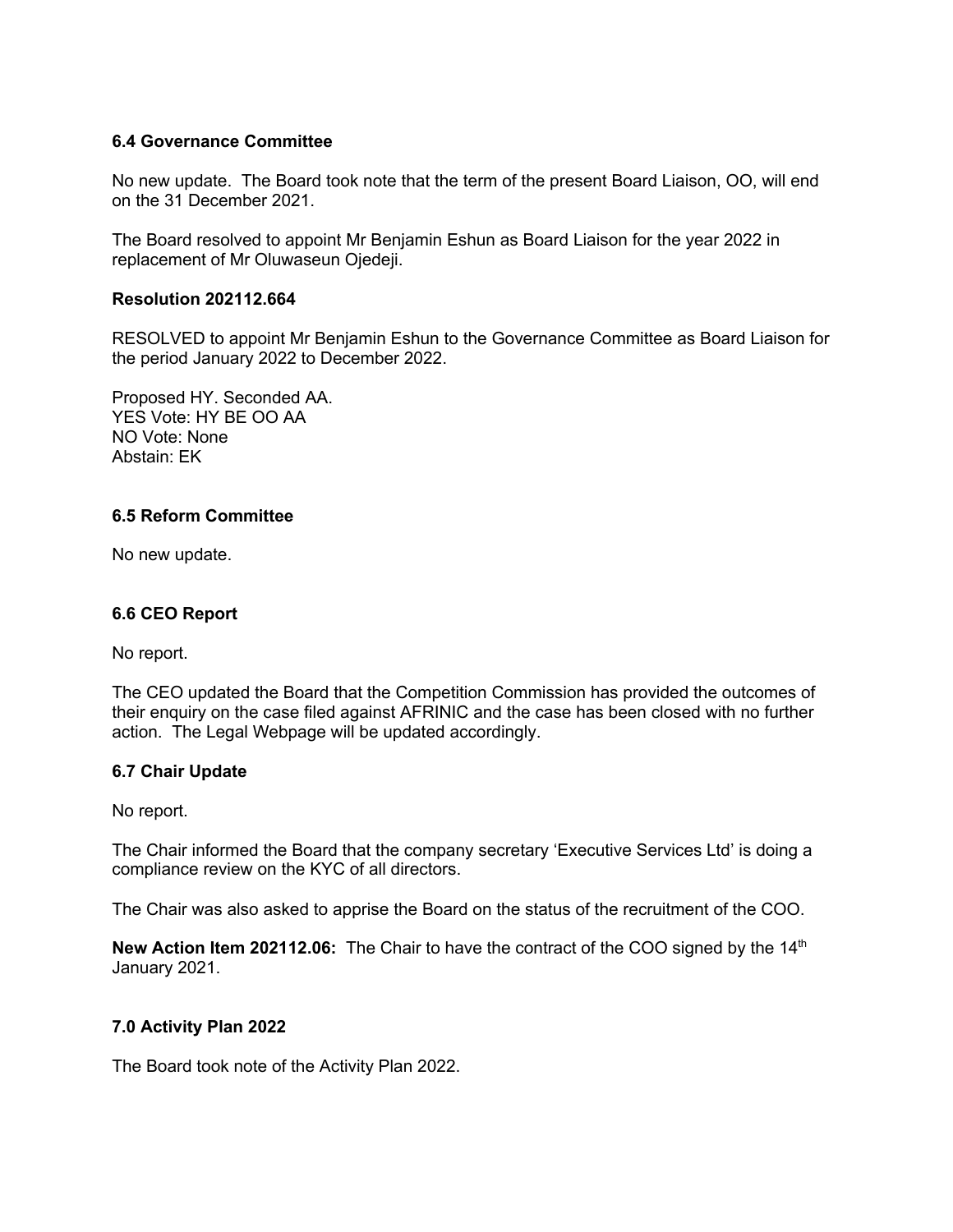# **6.4 Governance Committee**

No new update. The Board took note that the term of the present Board Liaison, OO, will end on the 31 December 2021.

The Board resolved to appoint Mr Benjamin Eshun as Board Liaison for the year 2022 in replacement of Mr Oluwaseun Ojedeji.

#### **Resolution 202112.664**

RESOLVED to appoint Mr Benjamin Eshun to the Governance Committee as Board Liaison for the period January 2022 to December 2022.

Proposed HY. Seconded AA. YES Vote: HY BE OO AA NO Vote: None Abstain: EK

# **6.5 Reform Committee**

No new update.

#### **6.6 CEO Report**

No report.

The CEO updated the Board that the Competition Commission has provided the outcomes of their enquiry on the case filed against AFRINIC and the case has been closed with no further action. The Legal Webpage will be updated accordingly.

#### **6.7 Chair Update**

No report.

The Chair informed the Board that the company secretary 'Executive Services Ltd' is doing a compliance review on the KYC of all directors.

The Chair was also asked to apprise the Board on the status of the recruitment of the COO.

**New Action Item 202112.06:** The Chair to have the contract of the COO signed by the 14<sup>th</sup> January 2021.

#### **7.0 Activity Plan 2022**

The Board took note of the Activity Plan 2022.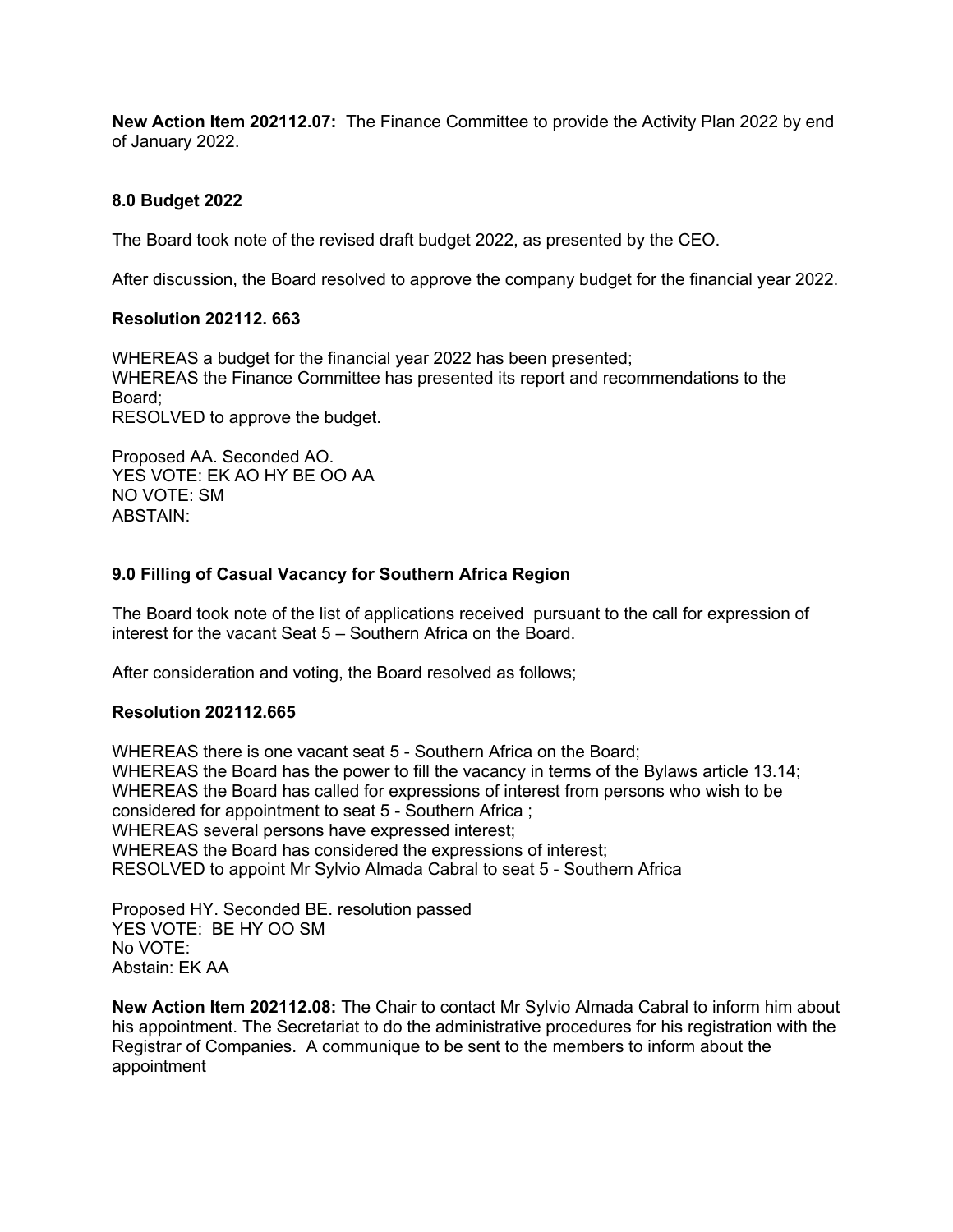**New Action Item 202112.07:** The Finance Committee to provide the Activity Plan 2022 by end of January 2022.

#### **8.0 Budget 2022**

The Board took note of the revised draft budget 2022, as presented by the CEO.

After discussion, the Board resolved to approve the company budget for the financial year 2022.

#### **Resolution 202112. 663**

WHEREAS a budget for the financial year 2022 has been presented; WHEREAS the Finance Committee has presented its report and recommendations to the Board; RESOLVED to approve the budget.

Proposed AA. Seconded AO. YES VOTE: EK AO HY BE OO AA NO VOTE: SM ABSTAIN:

### **9.0 Filling of Casual Vacancy for Southern Africa Region**

The Board took note of the list of applications received pursuant to the call for expression of interest for the vacant Seat 5 – Southern Africa on the Board.

After consideration and voting, the Board resolved as follows;

#### **Resolution 202112.665**

WHEREAS there is one vacant seat 5 - Southern Africa on the Board; WHEREAS the Board has the power to fill the vacancy in terms of the Bylaws article 13.14; WHEREAS the Board has called for expressions of interest from persons who wish to be considered for appointment to seat 5 - Southern Africa ; WHEREAS several persons have expressed interest; WHEREAS the Board has considered the expressions of interest; RESOLVED to appoint Mr Sylvio Almada Cabral to seat 5 - Southern Africa

Proposed HY. Seconded BE. resolution passed YES VOTE: BE HY OO SM No VOTE: Abstain: EK AA

**New Action Item 202112.08:** The Chair to contact Mr Sylvio Almada Cabral to inform him about his appointment. The Secretariat to do the administrative procedures for his registration with the Registrar of Companies. A communique to be sent to the members to inform about the appointment